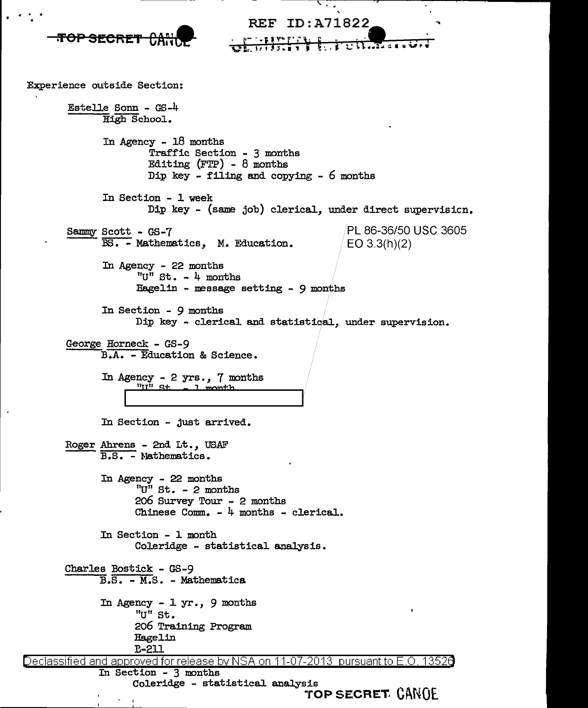

<u>Declassified and approved for release by NSA on 11-07-2013 pursuant to E.O. 13526</u> In Section - 3 months

Coleridge - statistical analysis

**·roP SECRET. Cl\NOE.**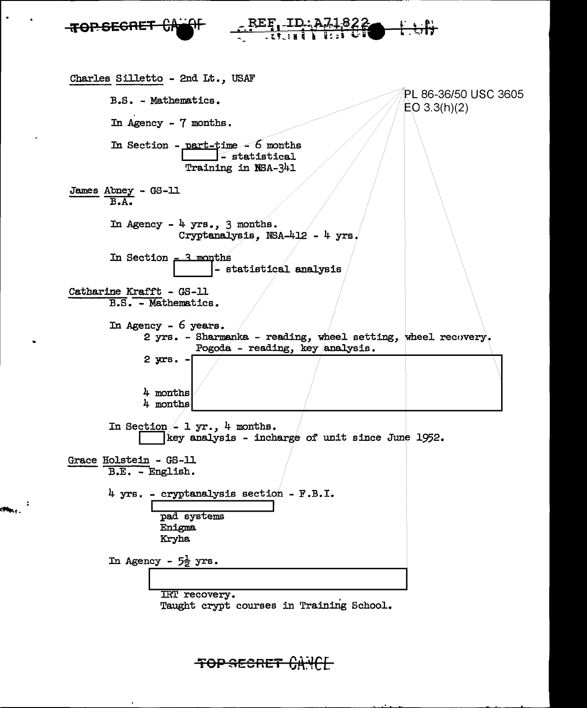

<del>TOP SECRET</del>

 $\phi_{\rm{max}}$  ,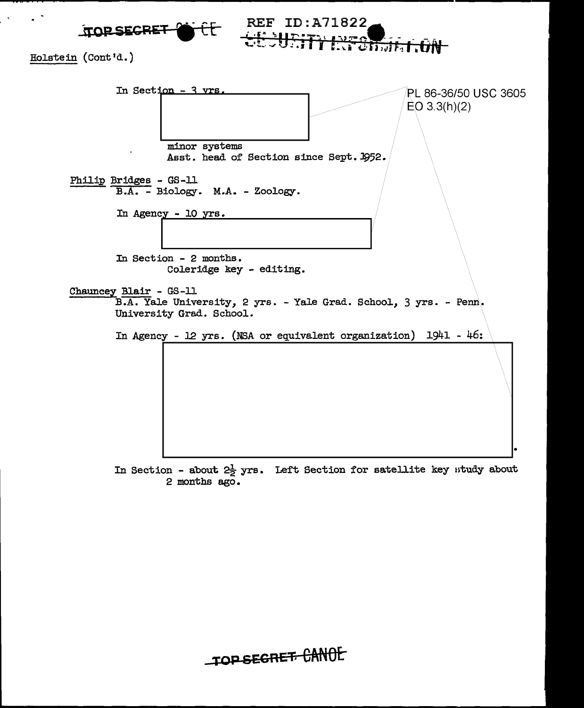

Holstein (Cont'd.)



**REF ID:A71822** 

माजन जिल

In Section - about  $2\frac{1}{2}$  yrs. Left Section for satellite key study about 2 months ago.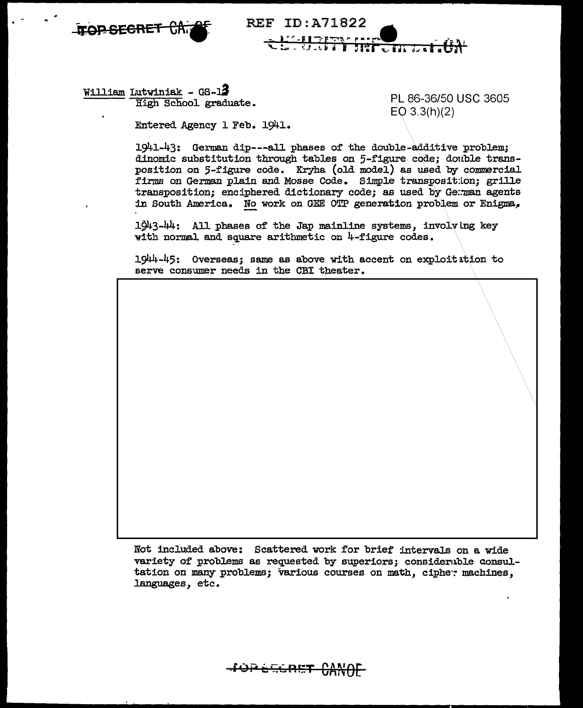



William Lutwiniak - GS-13 High School graduate.

PL 86-36/50 USC 3605  $EO$  3.3(h)(2)

Entered Agency 1 Feb. 1941.

1941-43: German dip---all phases of the double-additive problem; dinomic substitution through tables on 5-figure code; double transposition on 5-figure code. Kryha (old model) as used by commercial firms on German plain and Mosse Code. Simple transposition; grille transposition; enciphered dictionary code; as used by German agents in South America. No work on GEE OTP generation problem or Enigma.

1943-44: All phases of the Jap mainline systems, involving key with normal and square arithmetic on 4-figure codes.

1944-45: Overseas; same as above with accent on exploitation to serve consumer needs in the CBI theater.

Not included above: Scattered work for brief intervals on a wide variety of problems as requested by superiors; considerable consultation on many problems; various courses on math, cipher machines, languages, etc.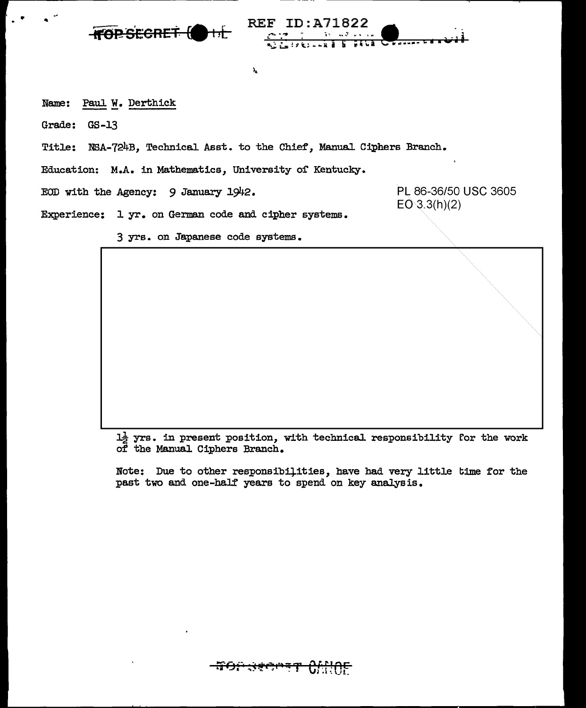

Name: Paul W. Derthick

Grade: GS-13

Title: NSA-724B, Technical Asst. to the Chief, Manual Ciphers Branch.

 $\mathbf{I}_\mathbf{A}$ 

**REF ID: A71822** 

 $\mathbf{u}^T + \mathbf{v}$ 

**SELE CENTREE** 

Education: M.A. in Mathematics, University of Kentucky.

EOD with the Agency: 9 January 1942.

PL 86-36/50 USC 3605  $EO 3.3(h)(2)$ 

Experience: 1 yr. on German code and cipher systems.

3 yrs. on Japanese code systems.

 $1\frac{1}{2}$  yrs. in present position, with technical responsibility for the work of the Manual Ciphers Branch.

Note: Due to other responsibilities, have had very little time for the past two and one-half years to spend on key analysis.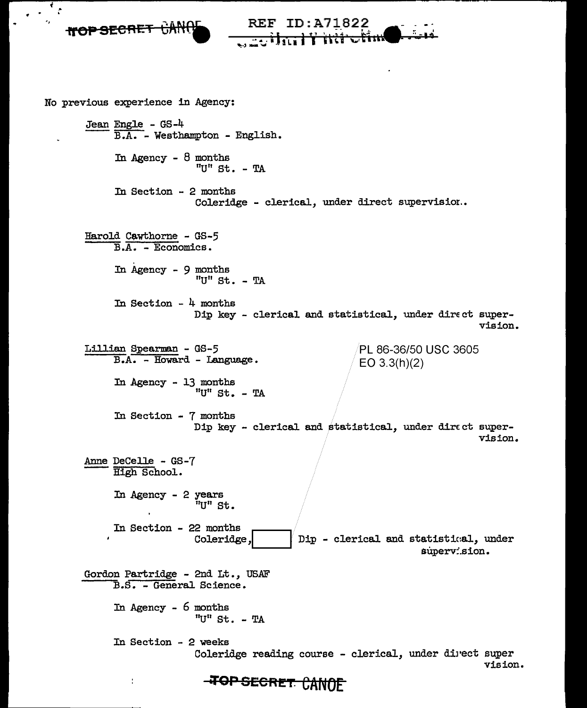., REF ID:A71822 **rroP SECRET CAN 89 'f,** , .. .; - .. - No previous experience in Agency: Jean Engle - GS-4<br> $B.A.$  - Westhampton - English. In Agency -  $8$  months "U" St. - TA In Section - 2 months Coleridge - clerical, under direct supervision.. Harold Cawthorne - GS-5 B.A. - Economics. In Agency -  $9$  months "U" St. - TA In Section - 4 months Dip key - clerical and statistical, under direct supervision. Lillian Spearman - GS-5 PL 86-36/50 USC 3605 B.A. - Howard - Language. EO 3.3(h)(2) In Agency - 13 months "U" St.  $-$  TA In Section - 7 months Dip key - clerical and statistical, under direct supervision. Anne Decelle - GS-7 High School. In Agency - 2 years "U" St. In Section - 22 months Coleridge, Dip - clerical and statistical, under supervision. Gordon Partridge - 2nd Lt., USAF B.S. - General Science. In Agency - 6 months "U" St.  $-$  TA In Section - 2 weeks Coleridge reading course - clerical, under direct super vision. t

Ŧ  $\mathcal{C}$ 

**EXP SECRET CANOE**